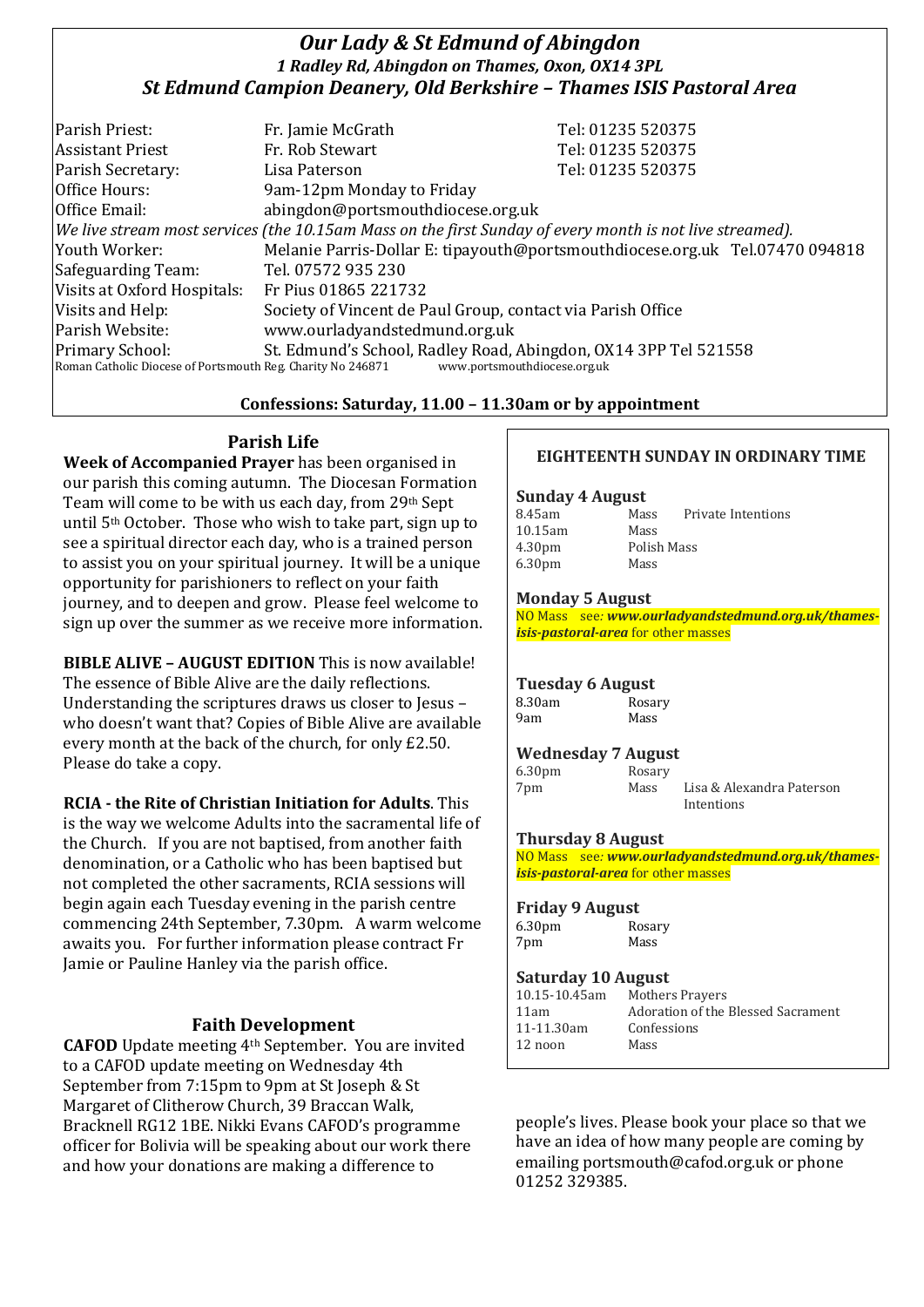# *Our Lady & St Edmund of Abingdon 1 Radley Rd, Abingdon on Thames, Oxon, OX14 3PL St Edmund Campion Deanery, Old Berkshire – Thames ISIS Pastoral Area*

| Parish Priest:                                                                                               | Fr. Jamie McGrath                                               | Tel: 01235 520375                                                            |  |  |
|--------------------------------------------------------------------------------------------------------------|-----------------------------------------------------------------|------------------------------------------------------------------------------|--|--|
| <b>Assistant Priest</b>                                                                                      | Fr. Rob Stewart                                                 | Tel: 01235 520375                                                            |  |  |
| Parish Secretary:                                                                                            | Lisa Paterson                                                   | Tel: 01235 520375                                                            |  |  |
| Office Hours:                                                                                                | 9am-12pm Monday to Friday                                       |                                                                              |  |  |
| Office Email:                                                                                                | abingdon@portsmouthdiocese.org.uk                               |                                                                              |  |  |
| $ $ We live stream most services (the 10.15am Mass on the first Sunday of every month is not live streamed). |                                                                 |                                                                              |  |  |
| Youth Worker:                                                                                                |                                                                 | Melanie Parris-Dollar E: tipayouth@portsmouthdiocese.org.uk Tel.07470 094818 |  |  |
| Safeguarding Team:                                                                                           | Tel. 07572 935 230                                              |                                                                              |  |  |
| Visits at Oxford Hospitals:                                                                                  | Fr Pius 01865 221732                                            |                                                                              |  |  |
| Visits and Help:                                                                                             | Society of Vincent de Paul Group, contact via Parish Office     |                                                                              |  |  |
| Parish Website:                                                                                              | www.ourladyandstedmund.org.uk                                   |                                                                              |  |  |
| <b>Primary School:</b>                                                                                       | St. Edmund's School, Radley Road, Abingdon, OX14 3PP Tel 521558 |                                                                              |  |  |
| Roman Catholic Diocese of Portsmouth Reg. Charity No 246871<br>www.portsmouthdiocese.org.uk                  |                                                                 |                                                                              |  |  |

## **Confessions: Saturday, 11.00 – 11.30am or by appointment**

# **Parish Life**

**Week of Accompanied Prayer** has been organised in our parish this coming autumn. The Diocesan Formation Team will come to be with us each day, from 29th Sept until 5th October. Those who wish to take part, sign up to see a spiritual director each day, who is a trained person to assist you on your spiritual journey. It will be a unique opportunity for parishioners to reflect on your faith journey, and to deepen and grow. Please feel welcome to sign up over the summer as we receive more information.

**BIBLE ALIVE – AUGUST EDITION** This is now available! The essence of Bible Alive are the daily reflections. Understanding the scriptures draws us closer to Jesus – who doesn't want that? Copies of Bible Alive are available every month at the back of the church, for only £2.50. Please do take a copy.

**RCIA - the Rite of Christian Initiation for Adults**. This is the way we welcome Adults into the sacramental life of the Church. If you are not baptised, from another faith denomination, or a Catholic who has been baptised but not completed the other sacraments, RCIA sessions will begin again each Tuesday evening in the parish centre commencing 24th September, 7.30pm. A warm welcome awaits you. For further information please contract Fr Jamie or Pauline Hanley via the parish office.

## **Faith Development**

**CAFOD** Update meeting 4th September. You are invited to a CAFOD update meeting on Wednesday 4th September from 7:15pm to 9pm at St Joseph & St Margaret of Clitherow Church, 39 Braccan Walk, Bracknell RG12 1BE. Nikki Evans CAFOD's programme officer for Bolivia will be speaking about our work there and how your donations are making a difference to

## **EIGHTEENTH SUNDAY IN ORDINARY TIME**

#### **Sunday 4 August**

| 8.45am             | Mass        | Private Intentions |
|--------------------|-------------|--------------------|
| 10.15am            | Mass        |                    |
| 4.30 <sub>pm</sub> | Polish Mass |                    |
| 6.30 <sub>pm</sub> | Mass        |                    |

#### **Monday 5 August**

NO Mass see*: www.ourladyandstedmund.org.uk/thamesisis-pastoral-area* for other masses

#### **Tuesday 6 August** 8.30am Rosary 9am Mass

## **Wednesday 7 August**

| 6.30 <sub>pm</sub> | Rosary |                           |
|--------------------|--------|---------------------------|
| 7pm                | Mass   | Lisa & Alexandra Paterson |
|                    |        | Intentions                |

## **Thursday 8 August**

NO Mass see*: www.ourladyandstedmund.org.uk/thamesisis-pastoral-area* for other masses

#### **Friday 9 August**

6.30pm Rosary 7pm Mass

#### **Saturday 10 August**

| 10.15-10.45am   | <b>Mothers Prayers</b>             |
|-----------------|------------------------------------|
| 11am            | Adoration of the Blessed Sacrament |
| $11 - 11.30$ am | Confessions                        |
| 12 noon         | Mass                               |
|                 |                                    |

people's lives. Please book your place so that we have an idea of how many people are coming by emailing portsmouth@cafod.org.uk or phone 01252 329385.